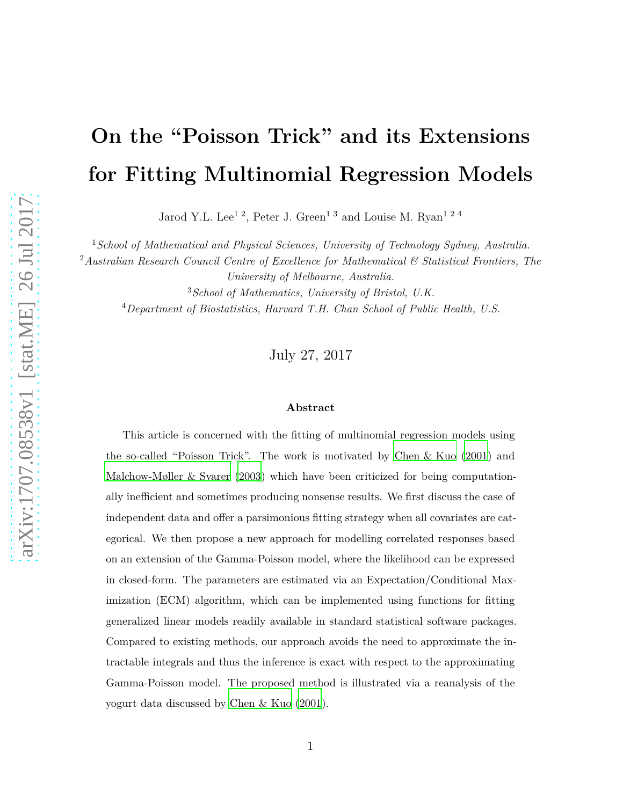# **On the "Poisson Trick" and its Extensions for Fitting Multinomial Regression Models**

Jarod Y.L. Lee<sup>12</sup>, Peter J. Green<sup>13</sup> and Louise M. Ryan<sup>124</sup>

<sup>1</sup>*School of Mathematical and Physical Sciences, University of Technology Sydney, Australia.*

<sup>2</sup>*Australian Research Council Centre of Excellence for Mathematical & Statistical Frontiers, The University of Melbourne, Australia.*

<sup>3</sup>*School of Mathematics, University of Bristol, U.K.*

<sup>4</sup>*Department of Biostatistics, Harvard T.H. Chan School of Public Health, U.S.*

July 27, 2017

#### **Abstract**

This article is concerned with the fitting of multinomial regression models using the so-called "Poisson Trick". The work is motivated by Chen [& Kuo](#page-22-0) [\(2001](#page-22-0)) and [Malchow-Møller & Svarer](#page-23-0) [\(2003](#page-23-0)) which have been criticized for being computationally inefficient and sometimes producing nonsense results. We first discuss the case of independent data and offer a parsimonious fitting strategy when all covariates are categorical. We then propose a new approach for modelling correlated responses based on an extension of the Gamma-Poisson model, where the likelihood can be expressed in closed-form. The parameters are estimated via an Expectation/Conditional Maximization (ECM) algorithm, which can be implemented using functions for fitting generalized linear models readily available in standard statistical software packages. Compared to existing methods, our approach avoids the need to approximate the intractable integrals and thus the inference is exact with respect to the approximating Gamma-Poisson model. The proposed method is illustrated via a reanalysis of the yogurt data discussed by [Chen & Kuo \(2001](#page-22-0)).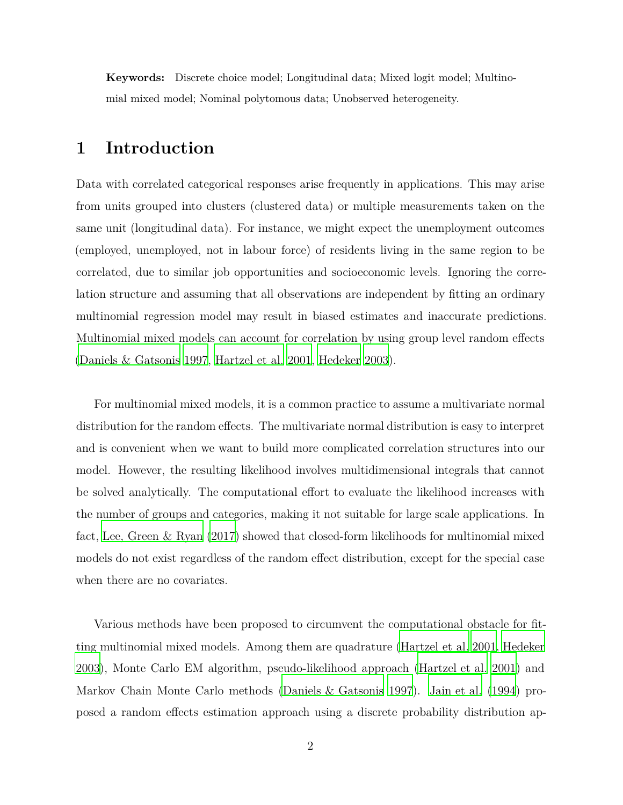**Keywords:** Discrete choice model; Longitudinal data; Mixed logit model; Multinomial mixed model; Nominal polytomous data; Unobserved heterogeneity.

## **1 Introduction**

Data with correlated categorical responses arise frequently in applications. This may arise from units grouped into clusters (clustered data) or multiple measurements taken on the same unit (longitudinal data). For instance, we might expect the unemployment outcomes (employed, unemployed, not in labour force) of residents living in the same region to be correlated, due to similar job opportunities and socioeconomic levels. Ignoring the correlation structure and assuming that all observations are independent by fitting an ordinary multinomial regression model may result in biased estimates and inaccurate predictions. Multinomial mixed models can account for correlation by using group level random effects [\(Daniels & Gatsonis 1997](#page-22-1), [Hartzel et al. 2001](#page-22-2), [Hedeker 2003\)](#page-22-3).

For multinomial mixed models, it is a common practice to assume a multivariate normal distribution for the random effects. The multivariate normal distribution is easy to interpret and is convenient when we want to build more complicated correlation structures into our model. However, the resulting likelihood involves multidimensional integrals that cannot be solved analytically. The computational effort to evaluate the likelihood increases with the number of groups and categories, making it not suitable for large scale applications. In fact, [Lee, Green & Ryan \(2017](#page-23-1)) showed that closed-form likelihoods for multinomial mixed models do not exist regardless of the random effect distribution, except for the special case when there are no covariates.

Various methods have been proposed to circumvent the computational obstacle for fitting multinomial mixed models. Among them are quadrature [\(Hartzel et al. 2001,](#page-22-2) [Hedeker](#page-22-3) [2003\)](#page-22-3), Monte Carlo EM algorithm, pseudo-likelihood approach [\(Hartzel et al. 2001](#page-22-2)) and Markov Chain Monte Carlo methods [\(Daniels & Gatsonis 1997\)](#page-22-1). [Jain et al. \(1994\)](#page-23-2) proposed a random effects estimation approach using a discrete probability distribution ap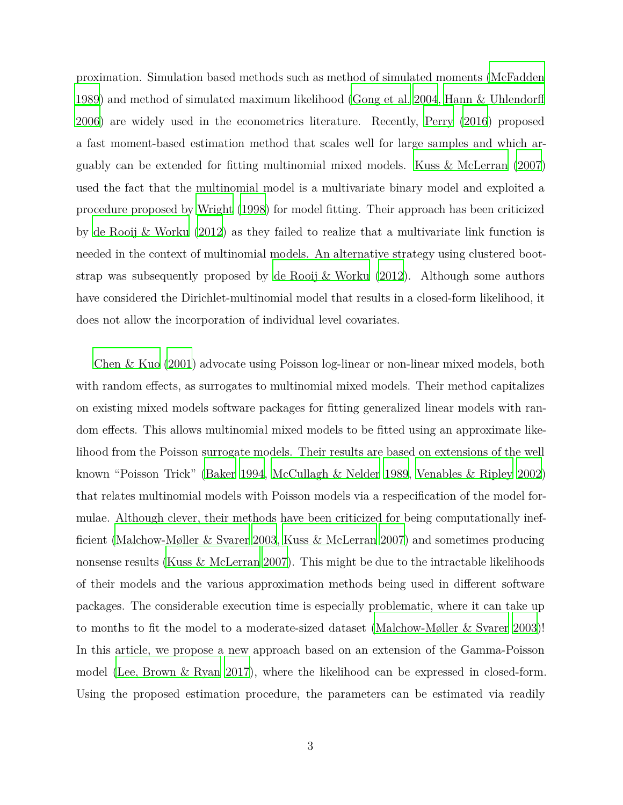proximation. Simulation based methods such as method of simulated moments [\(McFadden](#page-23-3) [1989\)](#page-23-3) and method of simulated maximum likelihood [\(Gong et al. 2004](#page-22-4), [Hann & Uhlendorff](#page-22-5) [2006\)](#page-22-5) are widely used in the econometrics literature. Recently, [Perry \(2016\)](#page-23-4) proposed a fast moment-based estimation method that scales well for large samples and which arguably can be extended for fitting multinomial mixed models. [Kuss & McLerran \(2007](#page-23-5)) used the fact that the multinomial model is a multivariate binary model and exploited a procedure proposed by [Wright \(1998\)](#page-24-0) for model fitting. Their approach has been criticized by [de Rooij & Worku \(2012\)](#page-22-6) as they failed to realize that a multivariate link function is needed in the context of multinomial models. An alternative strategy using clustered bootstrap was subsequently proposed by [de Rooij & Worku \(2012\)](#page-22-6). Although some authors have considered the Dirichlet-multinomial model that results in a closed-form likelihood, it does not allow the incorporation of individual level covariates.

[Chen & Kuo \(2001\)](#page-22-0) advocate using Poisson log-linear or non-linear mixed models, both with random effects, as surrogates to multinomial mixed models. Their method capitalizes on existing mixed models software packages for fitting generalized linear models with random effects. This allows multinomial mixed models to be fitted using an approximate likelihood from the Poisson surrogate models. Their results are based on extensions of the well known "Poisson Trick" [\(Baker 1994,](#page-22-7) [McCullagh & Nelder 1989,](#page-23-6) [Venables & Ripley 2002](#page-24-1)) that relates multinomial models with Poisson models via a respecification of the model formulae. Although clever, their methods have been criticized for being computationally inefficient [\(Malchow-Møller & Svarer 2003,](#page-23-0) [Kuss & McLerran 2007](#page-23-5)) and sometimes producing nonsense results [\(Kuss & McLerran 2007](#page-23-5)). This might be due to the intractable likelihoods of their models and the various approximation methods being used in different software packages. The considerable execution time is especially problematic, where it can take up to months to fit the model to a moderate-sized dataset [\(Malchow-Møller & Svarer 2003\)](#page-23-0)! In this article, we propose a new approach based on an extension of the Gamma-Poisson model [\(Lee, Brown & Ryan 2017](#page-23-7)), where the likelihood can be expressed in closed-form. Using the proposed estimation procedure, the parameters can be estimated via readily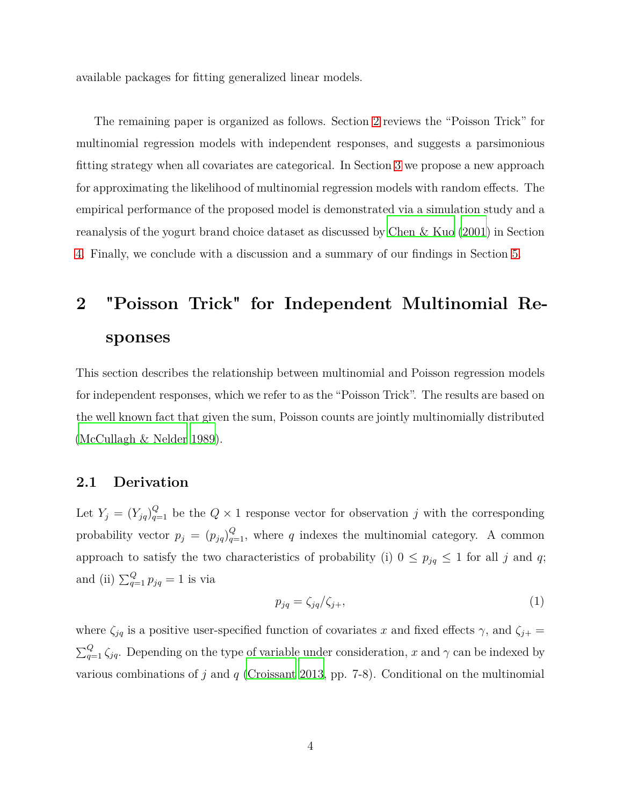available packages for fitting generalized linear models.

The remaining paper is organized as follows. Section [2](#page-3-0) reviews the "Poisson Trick" for multinomial regression models with independent responses, and suggests a parsimonious fitting strategy when all covariates are categorical. In Section [3](#page-10-0) we propose a new approach for approximating the likelihood of multinomial regression models with random effects. The empirical performance of the proposed model is demonstrated via a simulation study and a reanalysis of the yogurt brand choice dataset as discussed by [Chen & Kuo \(2001\)](#page-22-0) in Section [4.](#page-14-0) Finally, we conclude with a discussion and a summary of our findings in Section [5.](#page-17-0)

# <span id="page-3-0"></span>**2 "Poisson Trick" for Independent Multinomial Responses**

This section describes the relationship between multinomial and Poisson regression models for independent responses, which we refer to as the "Poisson Trick". The results are based on the well known fact that given the sum, Poisson counts are jointly multinomially distributed [\(McCullagh & Nelder 1989](#page-23-6)).

#### <span id="page-3-1"></span>**2.1 Derivation**

Let  $Y_j = (Y_{jq})_{q=1}^Q$  be the  $Q \times 1$  response vector for observation *j* with the corresponding probability vector  $p_j = (p_{jq})_{q=1}^Q$ , where *q* indexes the multinomial category. A common approach to satisfy the two characteristics of probability (i)  $0 \leq p_{jq} \leq 1$  for all *j* and *q*; and (ii)  $\sum_{q=1}^{Q} p_{jq} = 1$  is via

$$
p_{jq} = \zeta_{jq} / \zeta_{j+},\tag{1}
$$

where  $\zeta_{jq}$  is a positive user-specified function of covariates *x* and fixed effects  $\gamma$ , and  $\zeta_{j+}$  $\sum_{q=1}^{Q} \zeta_{jq}$ . Depending on the type of variable under consideration, *x* and  $\gamma$  can be indexed by various combinations of *j* and *q* [\(Croissant 2013](#page-22-8), pp. 7-8). Conditional on the multinomial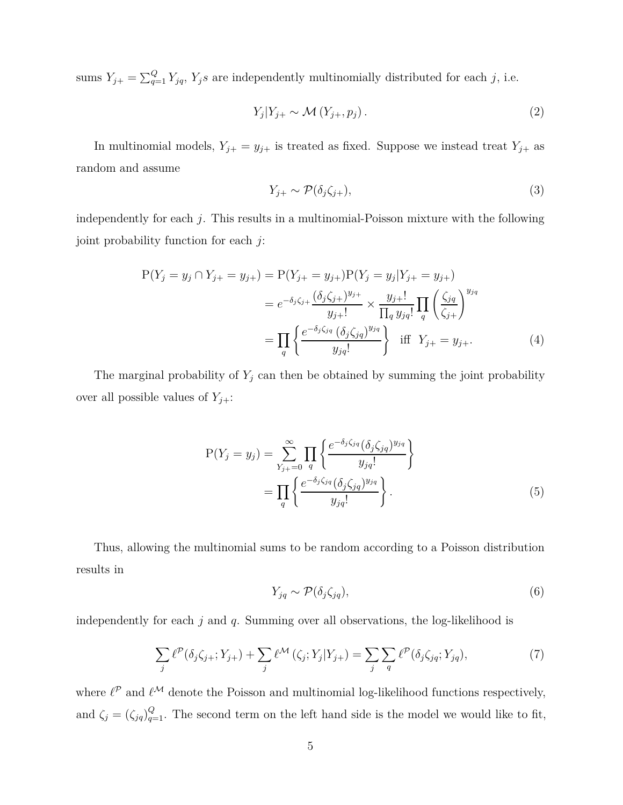sums  $Y_{j+} = \sum_{q=1}^{Q} Y_{jq}$ ,  $Y_j s$  are independently multinomially distributed for each *j*, i.e.

$$
Y_j | Y_{j+} \sim \mathcal{M}(Y_{j+}, p_j). \tag{2}
$$

In multinomial models,  $Y_{j+} = y_{j+}$  is treated as fixed. Suppose we instead treat  $Y_{j+}$  as random and assume

$$
Y_{j+} \sim \mathcal{P}(\delta_j \zeta_{j+}),\tag{3}
$$

independently for each *j*. This results in a multinomial-Poisson mixture with the following joint probability function for each *j*:

$$
P(Y_j = y_j \cap Y_{j+} = y_{j+}) = P(Y_{j+} = y_{j+})P(Y_j = y_j | Y_{j+} = y_{j+})
$$
  
=  $e^{-\delta_j \zeta_{j+}} \frac{(\delta_j \zeta_{j+})^{y_{j+}}}{y_{j+}!} \times \frac{y_{j+}!}{\prod_q y_{jq}!} \prod_q \left(\frac{\zeta_{jq}}{\zeta_{j+}}\right)^{y_{jq}}$   
=  $\prod_q \left\{ \frac{e^{-\delta_j \zeta_{jq}} (\delta_j \zeta_{jq})^{y_{jq}}}{y_{jq}!} \right\}$  iff  $Y_{j+} = y_{j+}$ . (4)

The marginal probability of  $Y_j$  can then be obtained by summing the joint probability over all possible values of  $Y_{j+}$ :

$$
P(Y_j = y_j) = \sum_{Y_{j+}=0}^{\infty} \prod_{q} \left\{ \frac{e^{-\delta_j \zeta_{jq}} (\delta_j \zeta_{jq})^{y_{jq}}}{y_{jq}!} \right\}
$$

$$
= \prod_{q} \left\{ \frac{e^{-\delta_j \zeta_{jq}} (\delta_j \zeta_{jq})^{y_{jq}}}{y_{jq}!} \right\}.
$$
(5)

Thus, allowing the multinomial sums to be random according to a Poisson distribution results in

$$
Y_{jq} \sim \mathcal{P}(\delta_j \zeta_{jq}),\tag{6}
$$

independently for each *j* and *q*. Summing over all observations, the log-likelihood is

<span id="page-4-0"></span>
$$
\sum_{j} \ell^{\mathcal{P}}(\delta_j \zeta_{j+}; Y_{j+}) + \sum_{j} \ell^{\mathcal{M}}(\zeta_j; Y_j | Y_{j+}) = \sum_{j} \sum_{q} \ell^{\mathcal{P}}(\delta_j \zeta_{jq}; Y_{jq}), \tag{7}
$$

where  $\ell^{\mathcal{P}}$  and  $\ell^{\mathcal{M}}$  denote the Poisson and multinomial log-likelihood functions respectively, and  $\zeta_j = (\zeta_{jq})_{q=1}^Q$ . The second term on the left hand side is the model we would like to fit,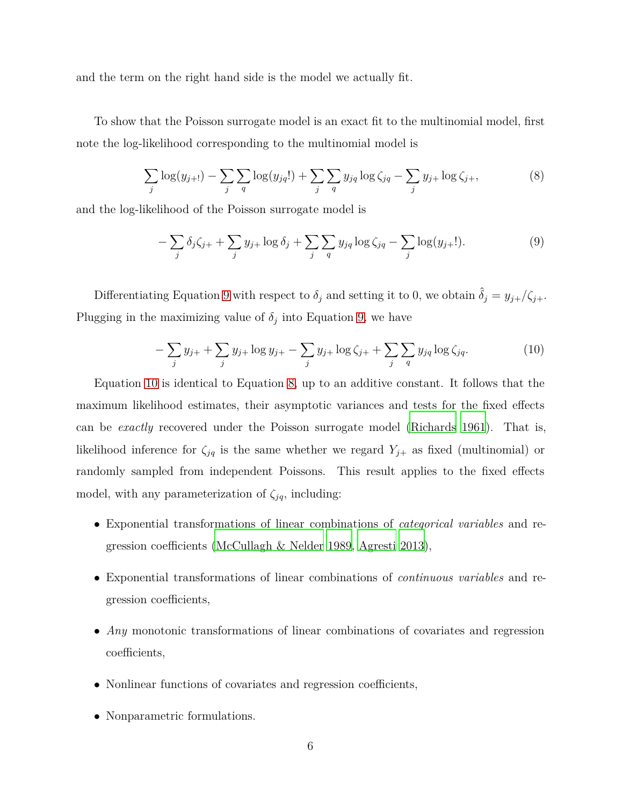and the term on the right hand side is the model we actually fit.

To show that the Poisson surrogate model is an exact fit to the multinomial model, first note the log-likelihood corresponding to the multinomial model is

<span id="page-5-2"></span>
$$
\sum_{j} \log(y_{j+1}) - \sum_{j} \sum_{q} \log(y_{jq}!) + \sum_{j} \sum_{q} y_{jq} \log \zeta_{jq} - \sum_{j} y_{j+} \log \zeta_{j+},
$$
(8)

and the log-likelihood of the Poisson surrogate model is

<span id="page-5-0"></span>
$$
-\sum_{j}\delta_j\zeta_{j+}+\sum_{j}y_{j+}\log\delta_j+\sum_{j}\sum_{q}y_{jq}\log\zeta_{jq}-\sum_{j}\log(y_{j+}!).\tag{9}
$$

Differentiating Equation [9](#page-5-0) with respect to  $\delta_j$  and setting it to 0, we obtain  $\hat{\delta}_j = y_{j+}/\zeta_{j+}$ . Plugging in the maximizing value of  $\delta_j$  into Equation [9,](#page-5-0) we have

<span id="page-5-1"></span>
$$
-\sum_{j} y_{j+} + \sum_{j} y_{j+} \log y_{j+} - \sum_{j} y_{j+} \log \zeta_{j+} + \sum_{j} \sum_{q} y_{jq} \log \zeta_{jq}.
$$
 (10)

Equation [10](#page-5-1) is identical to Equation [8,](#page-5-2) up to an additive constant. It follows that the maximum likelihood estimates, their asymptotic variances and tests for the fixed effects can be *exactly* recovered under the Poisson surrogate model [\(Richards 1961](#page-24-2)). That is, likelihood inference for  $\zeta_{jq}$  is the same whether we regard  $Y_{j+}$  as fixed (multinomial) or randomly sampled from independent Poissons. This result applies to the fixed effects model, with any parameterization of  $\zeta_{jq}$ , including:

- Exponential transformations of linear combinations of *categorical variables* and regression coefficients [\(McCullagh & Nelder 1989,](#page-23-6) [Agresti 2013\)](#page-22-9),
- Exponential transformations of linear combinations of *continuous variables* and regression coefficients,
- *Any* monotonic transformations of linear combinations of covariates and regression coefficients,
- Nonlinear functions of covariates and regression coefficients,
- Nonparametric formulations.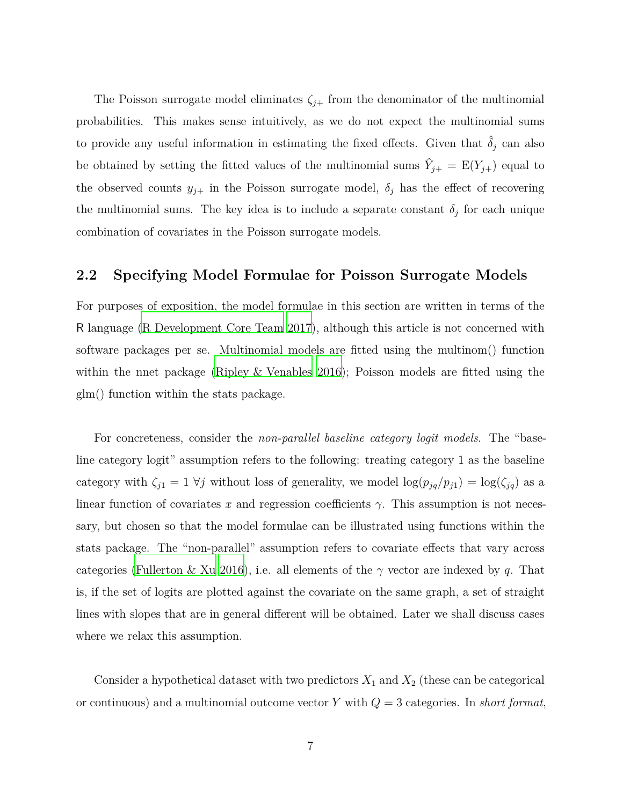The Poisson surrogate model eliminates  $\zeta_{j+}$  from the denominator of the multinomial probabilities. This makes sense intuitively, as we do not expect the multinomial sums to provide any useful information in estimating the fixed effects. Given that  $\hat{\delta}_j$  can also be obtained by setting the fitted values of the multinomial sums  $\hat{Y}_{j+} = \mathbb{E}(Y_{j+})$  equal to the observed counts  $y_{j+}$  in the Poisson surrogate model,  $\delta_j$  has the effect of recovering the multinomial sums. The key idea is to include a separate constant  $\delta_j$  for each unique combination of covariates in the Poisson surrogate models.

#### **2.2 Specifying Model Formulae for Poisson Surrogate Models**

For purposes of exposition, the model formulae in this section are written in terms of the R language [\(R Development Core Team 2017](#page-23-8)), although this article is not concerned with software packages per se. Multinomial models are fitted using the multinom() function within the nnet package [\(Ripley & Venables 2016\)](#page-24-3); Poisson models are fitted using the glm() function within the stats package.

For concreteness, consider the *non-parallel baseline category logit models*. The "baseline category logit" assumption refers to the following: treating category 1 as the baseline category with  $\zeta_{j1} = 1 \ \forall j$  without loss of generality, we model  $\log(p_{jq}/p_{j1}) = \log(\zeta_{jq})$  as a linear function of covariates x and regression coefficients  $\gamma$ . This assumption is not necessary, but chosen so that the model formulae can be illustrated using functions within the stats package. The "non-parallel" assumption refers to covariate effects that vary across categories [\(Fullerton & Xu 2016\)](#page-22-10), i.e. all elements of the *γ* vector are indexed by *q*. That is, if the set of logits are plotted against the covariate on the same graph, a set of straight lines with slopes that are in general different will be obtained. Later we shall discuss cases where we relax this assumption.

Consider a hypothetical dataset with two predictors  $X_1$  and  $X_2$  (these can be categorical or continuous) and a multinomial outcome vector *Y* with *Q* = 3 categories. In *short format*,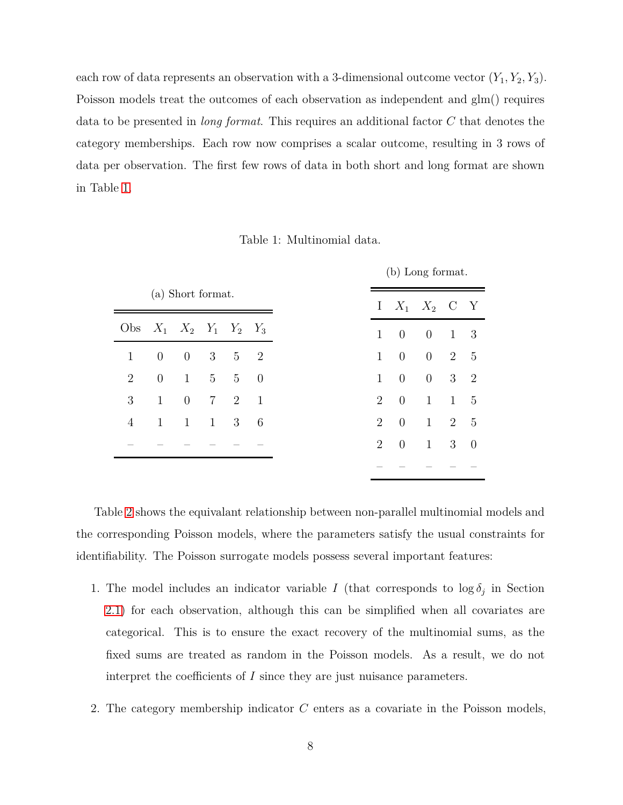each row of data represents an observation with a 3-dimensional outcome vector  $(Y_1, Y_2, Y_3)$ . Poisson models treat the outcomes of each observation as independent and glm() requires data to be presented in *long format*. This requires an additional factor *C* that denotes the category memberships. Each row now comprises a scalar outcome, resulting in 3 rows of data per observation. The first few rows of data in both short and long format are shown in Table [1.](#page-7-0)

<span id="page-7-0"></span>

| (a) Short format.                 |                |                |                |                |         |
|-----------------------------------|----------------|----------------|----------------|----------------|---------|
| Obs $X_1$ $X_2$ $Y_1$ $Y_2$ $Y_3$ |                |                |                |                |         |
| $\mathbf{1}$                      | $\overline{0}$ | $\overline{0}$ | 3              |                | $5 \t2$ |
| $\overline{2}$                    | $\theta$       | $\mathbf{1}$   | 5 <sup>5</sup> | 5              | - 0     |
| 3                                 | $\mathbf{1}$   | $\overline{0}$ | $\overline{7}$ | $\overline{2}$ | -1      |
| 4                                 | $\mathbf{1}$   | $\mathbf{1}$   | $\mathbf{1}$   | 3              | 6       |
|                                   |                |                |                |                |         |
|                                   |                |                |                |                |         |

Table 1: Multinomial data.

Table [2](#page-8-0) shows the equivalant relationship between non-parallel multinomial models and the corresponding Poisson models, where the parameters satisfy the usual constraints for identifiability. The Poisson surrogate models possess several important features:

- 1. The model includes an indicator variable *I* (that corresponds to  $\log \delta_j$  in Section [2.1\)](#page-3-1) for each observation, although this can be simplified when all covariates are categorical. This is to ensure the exact recovery of the multinomial sums, as the fixed sums are treated as random in the Poisson models. As a result, we do not interpret the coefficients of *I* since they are just nuisance parameters.
- 2. The category membership indicator *C* enters as a covariate in the Poisson models,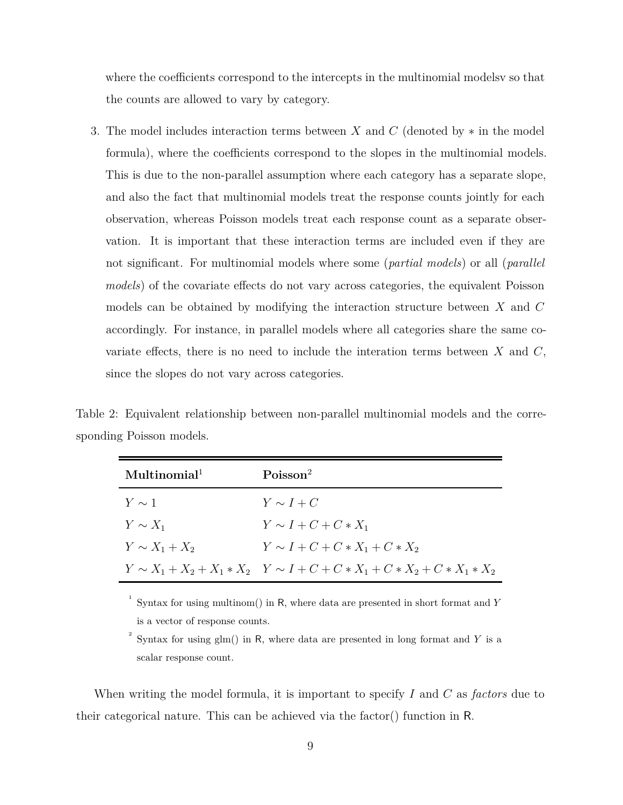where the coefficients correspond to the intercepts in the multinomial modelsv so that the counts are allowed to vary by category.

3. The model includes interaction terms between *X* and *C* (denoted by ∗ in the model formula), where the coefficients correspond to the slopes in the multinomial models. This is due to the non-parallel assumption where each category has a separate slope, and also the fact that multinomial models treat the response counts jointly for each observation, whereas Poisson models treat each response count as a separate observation. It is important that these interaction terms are included even if they are not significant. For multinomial models where some (*partial models*) or all (*parallel models*) of the covariate effects do not vary across categories, the equivalent Poisson models can be obtained by modifying the interaction structure between *X* and *C* accordingly. For instance, in parallel models where all categories share the same covariate effects, there is no need to include the interation terms between *X* and *C*, since the slopes do not vary across categories.

<span id="page-8-0"></span>Table 2: Equivalent relationship between non-parallel multinomial models and the corresponding Poisson models.

| Multinomial <sup>1</sup> | Poisson <sup>2</sup>                                                              |
|--------------------------|-----------------------------------------------------------------------------------|
| $Y \sim 1$               | $Y \sim I + C$                                                                    |
| $Y \sim X_1$             | $Y \sim I + C + C \cdot X_1$                                                      |
| $Y \sim X_1 + X_2$       | $Y \sim I + C + C * X_1 + C * X_2$                                                |
|                          | $Y \sim X_1 + X_2 + X_1 * X_2$ $Y \sim I + C + C * X_1 + C * X_2 + C * X_1 * X_2$ |

1 Syntax for using multinom() in R, where data are presented in short format and *Y* is a vector of response counts.

2 Syntax for using glm() in R, where data are presented in long format and *Y* is a scalar response count.

When writing the model formula, it is important to specify *I* and *C* as *factors* due to their categorical nature. This can be achieved via the factor() function in R.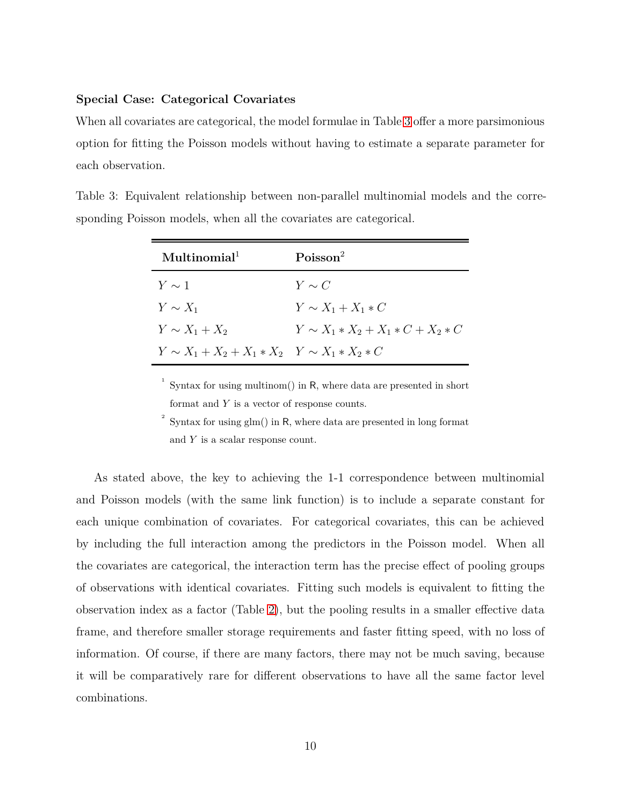#### **Special Case: Categorical Covariates**

<span id="page-9-0"></span>When all covariates are categorical, the model formulae in Table [3](#page-9-0) offer a more parsimonious option for fitting the Poisson models without having to estimate a separate parameter for each observation.

| $M$ ultinomial <sup>1</sup>                           | Poisson <sup>2</sup>                   |
|-------------------------------------------------------|----------------------------------------|
| $Y \sim 1$                                            | $Y \sim C$                             |
| $Y \sim X_1$                                          | $Y \sim X_1 + X_1 * C$                 |
| $Y \sim X_1 + X_2$                                    | $Y \sim X_1 * X_2 + X_1 * C + X_2 * C$ |
| $Y \sim X_1 + X_2 + X_1 * X_2$ $Y \sim X_1 * X_2 * C$ |                                        |

Table 3: Equivalent relationship between non-parallel multinomial models and the corresponding Poisson models, when all the covariates are categorical.

<sup>1</sup> Syntax for using multinom() in R, where data are presented in short format and *Y* is a vector of response counts.

2 Syntax for using glm() in R, where data are presented in long format and *Y* is a scalar response count.

As stated above, the key to achieving the 1-1 correspondence between multinomial and Poisson models (with the same link function) is to include a separate constant for each unique combination of covariates. For categorical covariates, this can be achieved by including the full interaction among the predictors in the Poisson model. When all the covariates are categorical, the interaction term has the precise effect of pooling groups of observations with identical covariates. Fitting such models is equivalent to fitting the observation index as a factor (Table [2\)](#page-8-0), but the pooling results in a smaller effective data frame, and therefore smaller storage requirements and faster fitting speed, with no loss of information. Of course, if there are many factors, there may not be much saving, because it will be comparatively rare for different observations to have all the same factor level combinations.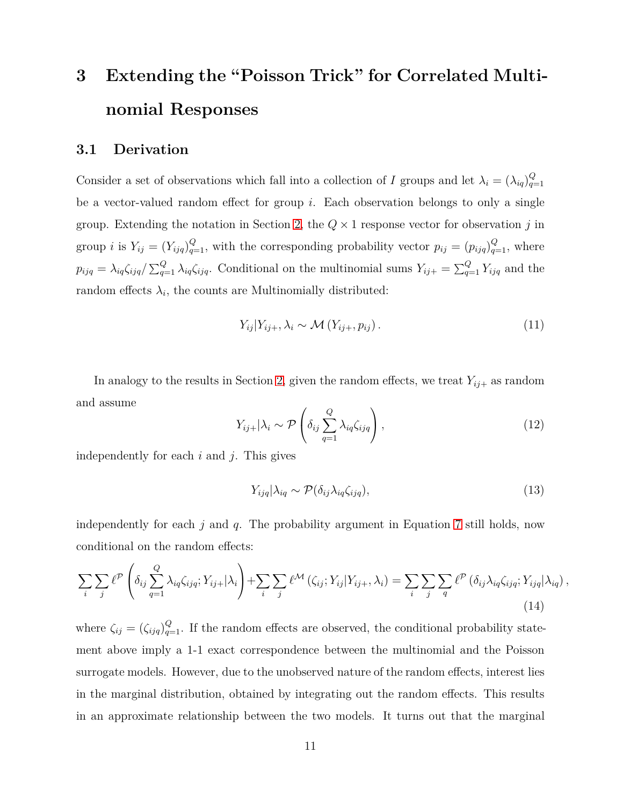# <span id="page-10-0"></span>**3 Extending the "Poisson Trick" for Correlated Multinomial Responses**

#### **3.1 Derivation**

Consider a set of observations which fall into a collection of *I* groups and let  $\lambda_i = (\lambda_{iq})_{q=1}^Q$ *q*=1 be a vector-valued random effect for group *i*. Each observation belongs to only a single group. Extending the notation in Section [2,](#page-3-0) the  $Q \times 1$  response vector for observation  $j$  in group *i* is  $Y_{ij} = (Y_{ijq})_{q=1}^Q$ , with the corresponding probability vector  $p_{ij} = (p_{ijq})_{q=1}^Q$ , where  $p_{ijq} = \lambda_{iq}\zeta_{ijq}/\sum_{q=1}^Q \lambda_{iq}\zeta_{ijq}$ . Conditional on the multinomial sums  $Y_{ij+} = \sum_{q=1}^Q Y_{ijq}$  and the random effects  $\lambda_i$ , the counts are Multinomially distributed:

$$
Y_{ij}|Y_{ij+}, \lambda_i \sim \mathcal{M}(Y_{ij+}, p_{ij}).
$$
\n(11)

In analogy to the results in Section [2,](#page-3-0) given the random effects, we treat  $Y_{ij+}$  as random and assume

$$
Y_{ij+}|\lambda_i \sim \mathcal{P}\left(\delta_{ij}\sum_{q=1}^Q \lambda_{iq}\zeta_{ijq}\right),\qquad(12)
$$

independently for each *i* and *j*. This gives

$$
Y_{ijq}|\lambda_{iq} \sim \mathcal{P}(\delta_{ij}\lambda_{iq}\zeta_{ijq}),\tag{13}
$$

independently for each *j* and *q*. The probability argument in Equation [7](#page-4-0) still holds, now conditional on the random effects:

<span id="page-10-1"></span>
$$
\sum_{i} \sum_{j} \ell^{\mathcal{P}} \left( \delta_{ij} \sum_{q=1}^{Q} \lambda_{iq} \zeta_{ijq}; Y_{ij+} | \lambda_i \right) + \sum_{i} \sum_{j} \ell^{\mathcal{M}} \left( \zeta_{ij}; Y_{ij} | Y_{ij+}, \lambda_i \right) = \sum_{i} \sum_{j} \sum_{q} \ell^{\mathcal{P}} \left( \delta_{ij} \lambda_{iq} \zeta_{ijq}; Y_{ijq} | \lambda_{iq} \right),
$$
\n(14)

where  $\zeta_{ij} = (\zeta_{ijq})_{q=1}^Q$ . If the random effects are observed, the conditional probability statement above imply a 1-1 exact correspondence between the multinomial and the Poisson surrogate models. However, due to the unobserved nature of the random effects, interest lies in the marginal distribution, obtained by integrating out the random effects. This results in an approximate relationship between the two models. It turns out that the marginal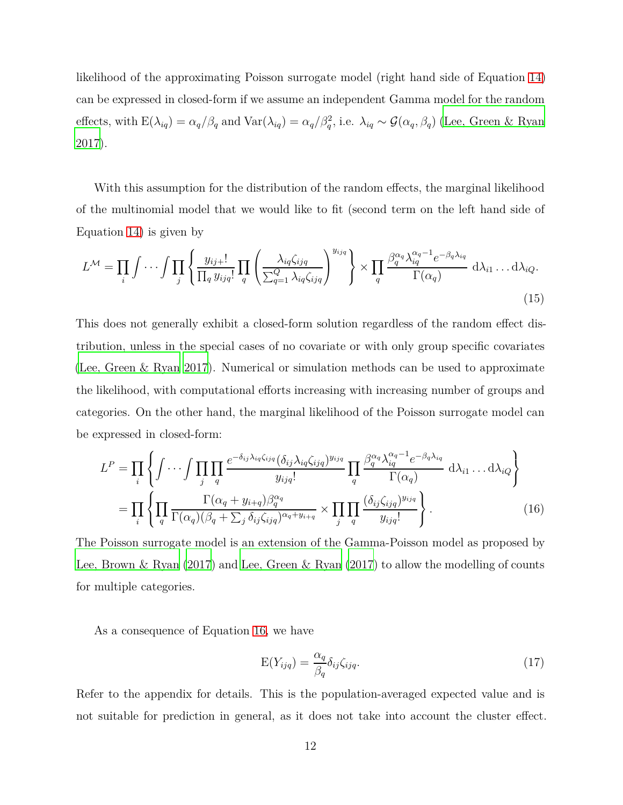likelihood of the approximating Poisson surrogate model (right hand side of Equation [14\)](#page-10-1) can be expressed in closed-form if we assume an independent Gamma model for the random effects, with  $E(\lambda_{iq}) = \alpha_q/\beta_q$  and  $Var(\lambda_{iq}) = \alpha_q/\beta_q^2$ , i.e.  $\lambda_{iq} \sim \mathcal{G}(\alpha_q, \beta_q)$  [\(Lee, Green & Ryan](#page-23-1) [2017\)](#page-23-1).

With this assumption for the distribution of the random effects, the marginal likelihood of the multinomial model that we would like to fit (second term on the left hand side of Equation [14\)](#page-10-1) is given by

$$
L^{\mathcal{M}} = \prod_{i} \int \cdots \int \prod_{j} \left\{ \frac{y_{ij+}!}{\prod_{q} y_{ijq}!} \prod_{q} \left( \frac{\lambda_{iq} \zeta_{ijq}}{\sum_{q=1}^{Q} \lambda_{iq} \zeta_{ijq}} \right)^{y_{ijq}} \right\} \times \prod_{q} \frac{\beta_{q}^{\alpha_{q}} \lambda_{iq}^{\alpha_{q}-1} e^{-\beta_{q} \lambda_{iq}}}{\Gamma(\alpha_{q})} d\lambda_{i1} \ldots d\lambda_{iQ}.
$$
\n(15)

This does not generally exhibit a closed-form solution regardless of the random effect distribution, unless in the special cases of no covariate or with only group specific covariates [\(Lee, Green & Ryan 2017](#page-23-1)). Numerical or simulation methods can be used to approximate the likelihood, with computational efforts increasing with increasing number of groups and categories. On the other hand, the marginal likelihood of the Poisson surrogate model can be expressed in closed-form:

$$
L^{P} = \prod_{i} \left\{ \int \cdots \int \prod_{j} \prod_{q} \frac{e^{-\delta_{ij}\lambda_{iq}\zeta_{ijq}}(\delta_{ij}\lambda_{iq}\zeta_{ijq})^{y_{ijq}}}{y_{ijq}!} \prod_{q} \frac{\beta_{q}^{\alpha_{q}}\lambda_{iq}^{\alpha_{q}-1}e^{-\beta_{q}\lambda_{iq}}}{\Gamma(\alpha_{q})} d\lambda_{i1} \dots d\lambda_{iQ} \right\}
$$

$$
= \prod_{i} \left\{ \prod_{q} \frac{\Gamma(\alpha_{q} + y_{i+q})\beta_{q}^{\alpha_{q}}}{\Gamma(\alpha_{q})(\beta_{q} + \sum_{j} \delta_{ij}\zeta_{ijq})^{\alpha_{q}+y_{i+q}}} \times \prod_{j} \prod_{q} \frac{(\delta_{ij}\zeta_{ijq})^{y_{ijq}}}{y_{ijq}!} \right\}.
$$
(16)

The Poisson surrogate model is an extension of the Gamma-Poisson model as proposed by [Lee, Brown & Ryan \(2017\)](#page-23-7) and [Lee, Green & Ryan \(2017](#page-23-1)) to allow the modelling of counts for multiple categories.

As a consequence of Equation [16,](#page-11-0) we have

<span id="page-11-1"></span><span id="page-11-0"></span>
$$
E(Y_{ijq}) = \frac{\alpha_q}{\beta_q} \delta_{ij} \zeta_{ijq}.
$$
\n(17)

Refer to the appendix for details. This is the population-averaged expected value and is not suitable for prediction in general, as it does not take into account the cluster effect.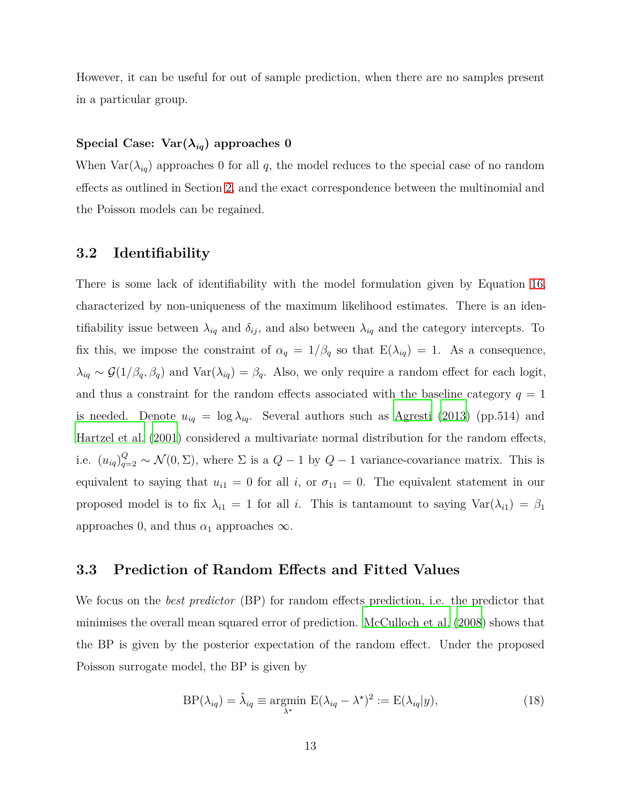However, it can be useful for out of sample prediction, when there are no samples present in a particular group.

#### **Special Case: Var(***λiq***) approaches 0**

When  $\text{Var}(\lambda_{iq})$  approaches 0 for all q, the model reduces to the special case of no random effects as outlined in Section [2,](#page-3-0) and the exact correspondence between the multinomial and the Poisson models can be regained.

#### **3.2 Identifiability**

There is some lack of identifiability with the model formulation given by Equation [16,](#page-11-0) characterized by non-uniqueness of the maximum likelihood estimates. There is an identifiability issue between  $\lambda_{iq}$  and  $\delta_{ij}$ , and also between  $\lambda_{iq}$  and the category intercepts. To fix this, we impose the constraint of  $\alpha_q = 1/\beta_q$  so that  $E(\lambda_{iq}) = 1$ . As a consequence,  $\lambda_{iq} \sim \mathcal{G}(1/\beta_q, \beta_q)$  and  $\text{Var}(\lambda_{iq}) = \beta_q$ . Also, we only require a random effect for each logit, and thus a constraint for the random effects associated with the baseline category  $q = 1$ is needed. Denote  $u_{iq} = \log \lambda_{iq}$ . Several authors such as [Agresti \(2013](#page-22-9)) (pp.514) and [Hartzel et al. \(2001](#page-22-2)) considered a multivariate normal distribution for the random effects, i.e.  $(u_{iq})_{q=2}^Q \sim \mathcal{N}(0, \Sigma)$ , where  $\Sigma$  is a  $Q-1$  by  $Q-1$  variance-covariance matrix. This is equivalent to saying that  $u_{i1} = 0$  for all *i*, or  $\sigma_{11} = 0$ . The equivalent statement in our proposed model is to fix  $\lambda_{i1} = 1$  for all *i*. This is tantamount to saying  $\text{Var}(\lambda_{i1}) = \beta_1$ approaches 0, and thus  $\alpha_1$  approaches  $\infty$ .

#### **3.3 Prediction of Random Effects and Fitted Values**

We focus on the *best predictor* (BP) for random effects prediction, i.e. the predictor that minimises the overall mean squared error of prediction. [McCulloch et al. \(2008\)](#page-23-9) shows that the BP is given by the posterior expectation of the random effect. Under the proposed Poisson surrogate model, the BP is given by

$$
BP(\lambda_{iq}) = \hat{\lambda}_{iq} \equiv \underset{\lambda^*}{\text{argmin}} \ E(\lambda_{iq} - \lambda^*)^2 := E(\lambda_{iq}|y), \tag{18}
$$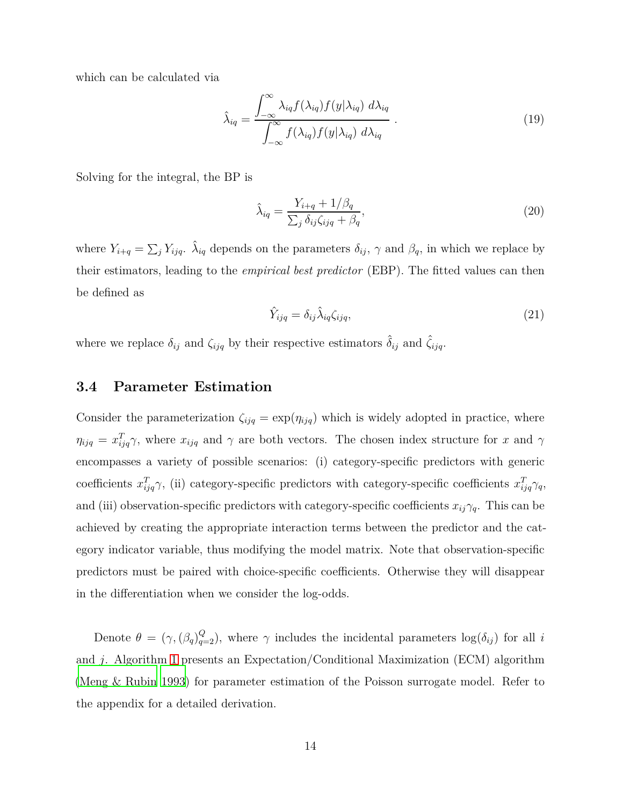which can be calculated via

$$
\hat{\lambda}_{iq} = \frac{\int_{-\infty}^{\infty} \lambda_{iq} f(\lambda_{iq}) f(y | \lambda_{iq}) d\lambda_{iq}}{\int_{-\infty}^{\infty} f(\lambda_{iq}) f(y | \lambda_{iq}) d\lambda_{iq}}.
$$
\n(19)

Solving for the integral, the BP is

$$
\hat{\lambda}_{iq} = \frac{Y_{i+q} + 1/\beta_q}{\sum_j \delta_{ij} \zeta_{ijq} + \beta_q},\tag{20}
$$

where  $Y_{i+q} = \sum_j Y_{ijq}$ .  $\hat{\lambda}_{iq}$  depends on the parameters  $\delta_{ij}$ ,  $\gamma$  and  $\beta_q$ , in which we replace by their estimators, leading to the *empirical best predictor* (EBP). The fitted values can then be defined as

$$
\hat{Y}_{ijq} = \delta_{ij} \hat{\lambda}_{iq} \zeta_{ijq},\tag{21}
$$

<span id="page-13-0"></span>where we replace  $\delta_{ij}$  and  $\zeta_{ijq}$  by their respective estimators  $\hat{\delta}_{ij}$  and  $\hat{\zeta}_{ijq}$ .

#### **3.4 Parameter Estimation**

Consider the parameterization  $\zeta_{ijq} = \exp(\eta_{ijq})$  which is widely adopted in practice, where  $\eta_{ijq} = x_{ijq}^T \gamma$ , where  $x_{ijq}$  and  $\gamma$  are both vectors. The chosen index structure for *x* and  $\gamma$ encompasses a variety of possible scenarios: (i) category-specific predictors with generic coefficients  $x_{ijq}^T \gamma$ , (ii) category-specific predictors with category-specific coefficients  $x_{ijq}^T \gamma_q$ , and (iii) observation-specific predictors with category-specific coefficients  $x_{ij}\gamma_q$ . This can be achieved by creating the appropriate interaction terms between the predictor and the category indicator variable, thus modifying the model matrix. Note that observation-specific predictors must be paired with choice-specific coefficients. Otherwise they will disappear in the differentiation when we consider the log-odds.

Denote  $\theta = (\gamma, (\beta_q)_{q=2}^Q)$ , where  $\gamma$  includes the incidental parameters  $\log(\delta_{ij})$  for all *i* and *j*. Algorithm [1](#page-14-1) presents an Expectation/Conditional Maximization (ECM) algorithm [\(Meng & Rubin 1993](#page-23-10)) for parameter estimation of the Poisson surrogate model. Refer to the appendix for a detailed derivation.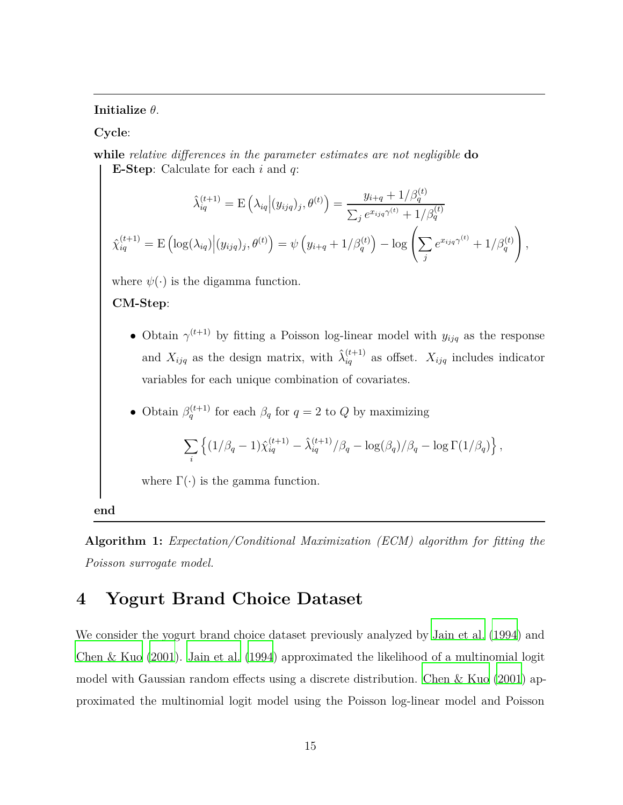**Initialize** *θ*.

**Cycle**:

**while** *relative differences in the parameter estimates are not negligible* **do E-Step**: Calculate for each *i* and *q*:

$$
\hat{\lambda}_{iq}^{(t+1)} = \mathcal{E}\left(\lambda_{iq} \Big| (y_{ijq})_j, \theta^{(t)}\right) = \frac{y_{i+q} + 1/\beta_q^{(t)}}{\sum_j e^{x_{ijq}\gamma^{(t)}} + 1/\beta_q^{(t)}}
$$
\n
$$
\hat{\lambda}_{iq}^{(t+1)} = \mathcal{E}\left(\log(\lambda_{iq}) \Big| (y_{ijq})_j, \theta^{(t)}\right) = \psi\left(y_{i+q} + 1/\beta_q^{(t)}\right) - \log\left(\sum_j e^{x_{ijq}\gamma^{(t)}} + 1/\beta_q^{(t)}\right),
$$

where  $\psi(\cdot)$  is the digamma function.

#### **CM-Step**:

- Obtain  $\gamma^{(t+1)}$  by fitting a Poisson log-linear model with  $y_{ijq}$  as the response and  $X_{ijq}$  as the design matrix, with  $\hat{\lambda}_{iq}^{(t+1)}$  as offset.  $X_{ijq}$  includes indicator variables for each unique combination of covariates.
- Obtain  $\beta_q^{(t+1)}$  for each  $\beta_q$  for  $q = 2$  to  $Q$  by maximizing

$$
\sum_{i} \left\{ (1/\beta_q - 1) \hat{\chi}_{iq}^{(t+1)} - \hat{\lambda}_{iq}^{(t+1)}/\beta_q - \log(\beta_q)/\beta_q - \log \Gamma(1/\beta_q) \right\},\,
$$

where  $\Gamma(\cdot)$  is the gamma function.

<span id="page-14-1"></span>**end**

**Algorithm 1:** *Expectation/Conditional Maximization (ECM) algorithm for fitting the Poisson surrogate model.*

## <span id="page-14-0"></span>**4 Yogurt Brand Choice Dataset**

We consider the yogurt brand choice dataset previously analyzed by [Jain et al. \(1994](#page-23-2)) and [Chen & Kuo \(2001\)](#page-22-0). [Jain et al. \(1994](#page-23-2)) approximated the likelihood of a multinomial logit model with Gaussian random effects using a discrete distribution. [Chen & Kuo \(2001\)](#page-22-0) approximated the multinomial logit model using the Poisson log-linear model and Poisson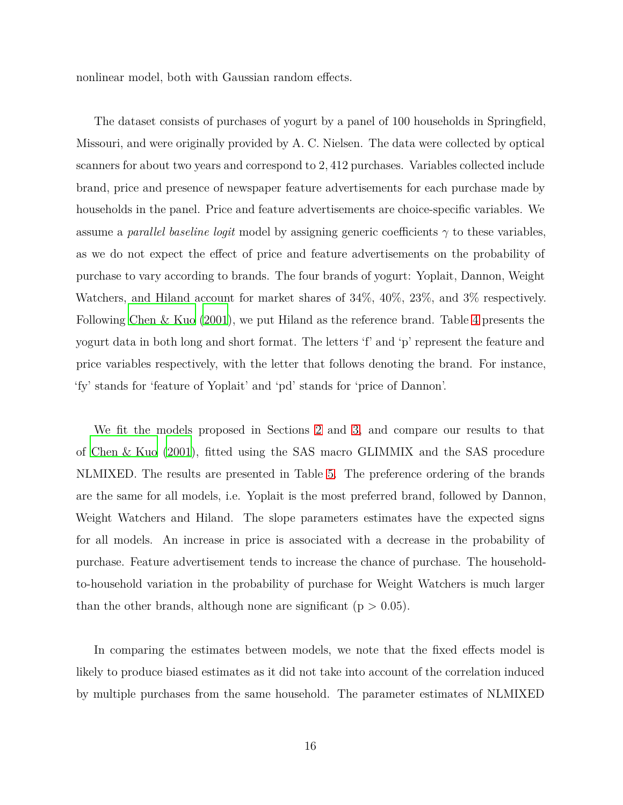nonlinear model, both with Gaussian random effects.

The dataset consists of purchases of yogurt by a panel of 100 households in Springfield, Missouri, and were originally provided by A. C. Nielsen. The data were collected by optical scanners for about two years and correspond to 2*,* 412 purchases. Variables collected include brand, price and presence of newspaper feature advertisements for each purchase made by households in the panel. Price and feature advertisements are choice-specific variables. We assume a *parallel baseline logit* model by assigning generic coefficients  $\gamma$  to these variables, as we do not expect the effect of price and feature advertisements on the probability of purchase to vary according to brands. The four brands of yogurt: Yoplait, Dannon, Weight Watchers, and Hiland account for market shares of 34%, 40%, 23%, and 3% respectively. Following [Chen & Kuo \(2001\)](#page-22-0), we put Hiland as the reference brand. Table [4](#page-16-0) presents the yogurt data in both long and short format. The letters 'f' and 'p' represent the feature and price variables respectively, with the letter that follows denoting the brand. For instance, 'fy' stands for 'feature of Yoplait' and 'pd' stands for 'price of Dannon'.

We fit the models proposed in Sections [2](#page-3-0) and [3,](#page-10-0) and compare our results to that of [Chen & Kuo \(2001\)](#page-22-0), fitted using the SAS macro GLIMMIX and the SAS procedure NLMIXED. The results are presented in Table [5.](#page-18-0) The preference ordering of the brands are the same for all models, i.e. Yoplait is the most preferred brand, followed by Dannon, Weight Watchers and Hiland. The slope parameters estimates have the expected signs for all models. An increase in price is associated with a decrease in the probability of purchase. Feature advertisement tends to increase the chance of purchase. The householdto-household variation in the probability of purchase for Weight Watchers is much larger than the other brands, although none are significant ( $p > 0.05$ ).

In comparing the estimates between models, we note that the fixed effects model is likely to produce biased estimates as it did not take into account of the correlation induced by multiple purchases from the same household. The parameter estimates of NLMIXED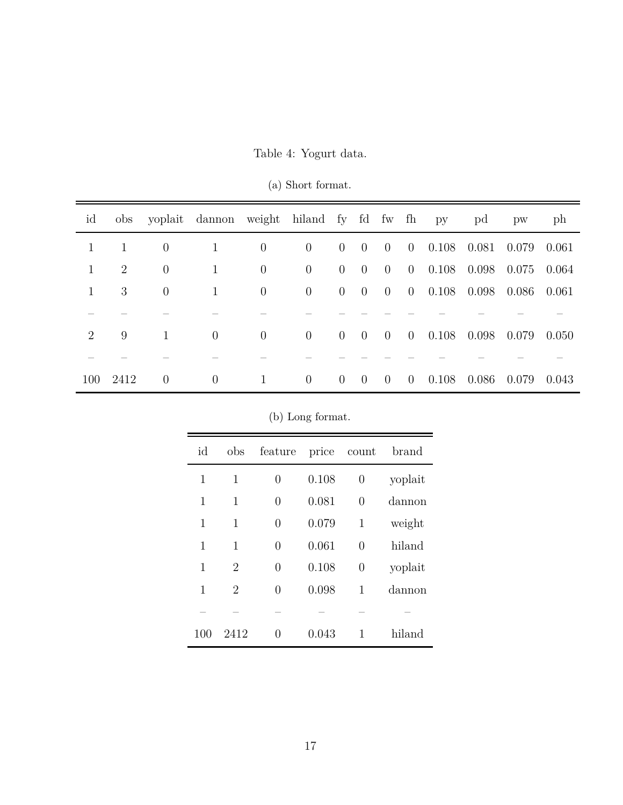<span id="page-16-0"></span>

| id             |      |                | obs yoplait dannon weight hiland fy fd fw fh py |                |                |                |                |                |                |                       | pd    | pw    | ph    |
|----------------|------|----------------|-------------------------------------------------|----------------|----------------|----------------|----------------|----------------|----------------|-----------------------|-------|-------|-------|
| $\mathbf{1}$   | -1   | $\overline{0}$ | $\mathbf{1}$                                    | $\overline{0}$ | $\overline{0}$ | $\overline{0}$ | $0 \quad 0$    |                |                | $0$ 0.108 0.081       |       | 0.079 | 0.061 |
| $\mathbf{1}$   | 2    | $\overline{0}$ | $\mathbf{1}$                                    | $\overline{0}$ | $\overline{0}$ | $\overline{0}$ | $\overline{0}$ | $\overline{0}$ |                | $0$ 0.108 0.098 0.075 |       |       | 0.064 |
| $\mathbf{1}$   | 3    | $\overline{0}$ | $\mathbf{1}$                                    | $\overline{0}$ | $\overline{0}$ | $\overline{0}$ | $0 \quad 0$    |                |                | $0$ 0.108 0.098 0.086 |       |       | 0.061 |
|                |      |                |                                                 |                |                |                |                |                |                |                       |       |       |       |
| $\overline{2}$ | 9    | 1              | $\overline{0}$                                  | $\overline{0}$ | $\overline{0}$ | $\overline{0}$ | $0 \quad 0$    |                |                | $0$ 0.108 0.098 0.079 |       |       | 0.050 |
|                |      |                |                                                 |                |                |                |                |                |                |                       |       |       |       |
| 100            | 2412 | $\overline{0}$ | $\overline{0}$                                  | 1              | $\overline{0}$ | $\overline{0}$ | $\overline{0}$ | $\overline{0}$ | $\overline{0}$ | 0.108                 | 0.086 | 0.079 | 0.043 |

(a) Short format.

| (b) Long format. |
|------------------|
|------------------|

| id  | obs            | feature          | price | count            | brand   |
|-----|----------------|------------------|-------|------------------|---------|
| 1   | 1              | 0                | 0.108 | 0                | yoplait |
| 1   | 1              | 0                | 0.081 | $\overline{0}$   | dannon  |
| 1   | 1              | 0                | 0.079 | 1                | weight  |
| 1   | $\mathbf{1}$   | 0                | 0.061 | $\overline{0}$   | hiland  |
| 1   | 2              | 0                | 0.108 | $\boldsymbol{0}$ | yoplait |
| 1   | $\overline{2}$ | 0                | 0.098 | 1                | dannon  |
|     |                |                  |       |                  |         |
| 100 | 2412           | $\left( \right)$ | 0.043 | 1                | hiland  |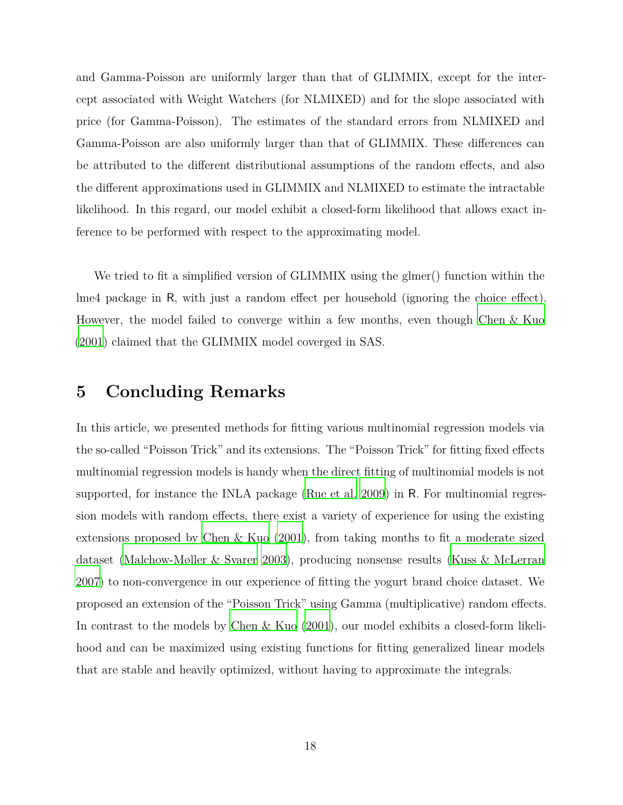and Gamma-Poisson are uniformly larger than that of GLIMMIX, except for the intercept associated with Weight Watchers (for NLMIXED) and for the slope associated with price (for Gamma-Poisson). The estimates of the standard errors from NLMIXED and Gamma-Poisson are also uniformly larger than that of GLIMMIX. These differences can be attributed to the different distributional assumptions of the random effects, and also the different approximations used in GLIMMIX and NLMIXED to estimate the intractable likelihood. In this regard, our model exhibit a closed-form likelihood that allows exact inference to be performed with respect to the approximating model.

We tried to fit a simplified version of GLIMMIX using the glmer() function within the lme4 package in R, with just a random effect per household (ignoring the choice effect). However, the model failed to converge within a few months, even though [Chen & Kuo](#page-22-0) [\(2001\)](#page-22-0) claimed that the GLIMMIX model coverged in SAS.

### <span id="page-17-0"></span>**5 Concluding Remarks**

In this article, we presented methods for fitting various multinomial regression models via the so-called "Poisson Trick" and its extensions. The "Poisson Trick" for fitting fixed effects multinomial regression models is handy when the direct fitting of multinomial models is not supported, for instance the INLA package [\(Rue et al. 2009](#page-24-4)) in R. For multinomial regression models with random effects, there exist a variety of experience for using the existing extensions proposed by Chen & Kuo  $(2001)$ , from taking months to fit a moderate sized dataset [\(Malchow-Møller & Svarer 2003](#page-23-0)), producing nonsense results [\(Kuss & McLerran](#page-23-5) [2007\)](#page-23-5) to non-convergence in our experience of fitting the yogurt brand choice dataset. We proposed an extension of the "Poisson Trick" using Gamma (multiplicative) random effects. In contrast to the models by [Chen & Kuo \(2001](#page-22-0)), our model exhibits a closed-form likelihood and can be maximized using existing functions for fitting generalized linear models that are stable and heavily optimized, without having to approximate the integrals.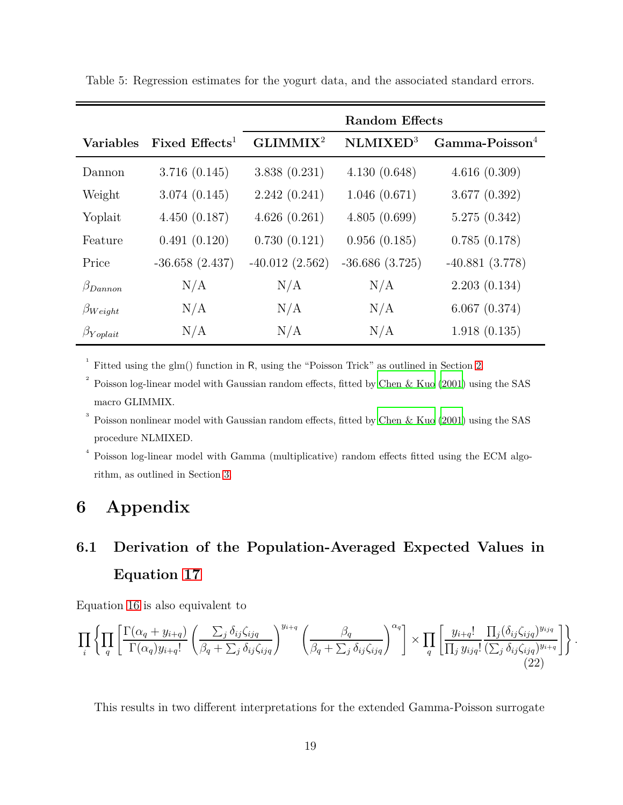|                   |                           | <b>Random Effects</b> |                      |                               |  |  |
|-------------------|---------------------------|-----------------------|----------------------|-------------------------------|--|--|
| <b>Variables</b>  | Fixed $E \text{ffects}^1$ | GLIMMIX <sup>2</sup>  | NLMIXED <sup>3</sup> | $Gamma$ -Poisson <sup>4</sup> |  |  |
| Dannon            | 3.716(0.145)              | 3.838(0.231)          | 4.130(0.648)         | 4.616(0.309)                  |  |  |
| Weight            | 3.074(0.145)              | 2.242(0.241)          | 1.046(0.671)         | 3.677(0.392)                  |  |  |
| Yoplait           | 4.450(0.187)              | 4.626(0.261)          | 4.805(0.699)         | 5.275(0.342)                  |  |  |
| Feature           | 0.491(0.120)              | 0.730(0.121)          | 0.956(0.185)         | 0.785(0.178)                  |  |  |
| Price             | $-36.658(2.437)$          | $-40.012(2.562)$      | $-36.686(3.725)$     | $-40.881(3.778)$              |  |  |
| $\beta_{Dannon}$  | N/A                       | N/A                   | N/A                  | 2.203(0.134)                  |  |  |
| $\beta_{Weight}$  | N/A                       | N/A                   | N/A                  | 6.067(0.374)                  |  |  |
| $\beta_{Yoplait}$ | N/A                       | N/A                   | N/A                  | 1.918(0.135)                  |  |  |

<span id="page-18-0"></span>Table 5: Regression estimates for the yogurt data, and the associated standard errors.

1 Fitted using the glm() function in R, using the "Poisson Trick" as outlined in Section [2.](#page-3-0)

2 Poisson log-linear model with Gaussian random effects, fitted by [Chen & Kuo \(2001](#page-22-0)) using the SAS macro GLIMMIX.

3 Poisson nonlinear model with Gaussian random effects, fitted by [Chen & Kuo \(2001](#page-22-0)) using the SAS procedure NLMIXED.

4 Poisson log-linear model with Gamma (multiplicative) random effects fitted using the ECM algorithm, as outlined in Section [3.](#page-10-0)

## **6 Appendix**

## **6.1 Derivation of the Population-Averaged Expected Values in Equation [17](#page-11-1)**

Equation [16](#page-11-0) is also equivalent to

<span id="page-18-1"></span>
$$
\prod_{i} \left\{ \prod_{q} \left[ \frac{\Gamma(\alpha_q + y_{i+q})}{\Gamma(\alpha_q) y_{i+q}} \left( \frac{\sum_{j} \delta_{ij} \zeta_{ijq}}{\beta_q + \sum_{j} \delta_{ij} \zeta_{ijq}} \right)^{y_{i+q}} \left( \frac{\beta_q}{\beta_q + \sum_{j} \delta_{ij} \zeta_{ijq}} \right)^{\alpha_q} \right] \times \prod_{q} \left[ \frac{y_{i+q}!}{\prod_j y_{ijq}!} \frac{\prod_j (\delta_{ij} \zeta_{ijq})^{y_{ijq}}}{(\sum_j \delta_{ij} \zeta_{ijq})^{y_{i+q}}} \right] \right\}.
$$
\n(22)

This results in two different interpretations for the extended Gamma-Poisson surrogate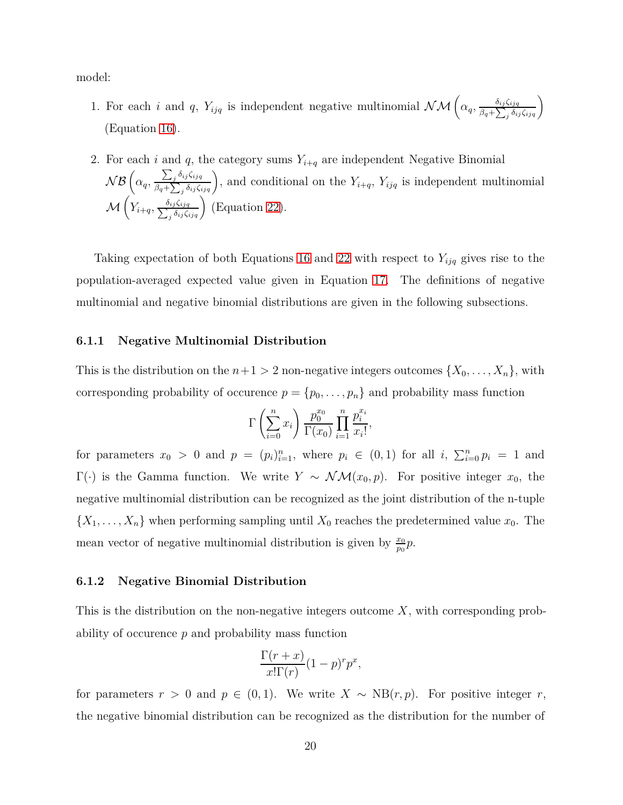model:

- 1. For each *i* and *q*,  $Y_{ijq}$  is independent negative multinomial  $\mathcal{NM}\left(\alpha_q, \frac{\delta_{ij}\zeta_{ijq}}{\beta_q + \sum_{k=1}^{n} \delta_{ik} \zeta_{ikq}}\right)$  $\frac{\delta_{ij}\zeta_{ijq}}{\beta_q + \sum_j \delta_{ij}\zeta_{ijq}}$ (Equation [16\)](#page-11-0).
- 2. For each *i* and *q*, the category sums  $Y_{i+q}$  are independent Negative Binomial  $\mathcal{NB}$   $\left(\alpha_q, \frac{\sum_j \delta_{ij} \zeta_{ijq}}{\beta_q + \sum_j \delta_{ij} \zeta_j}\right)$  $\sum_{\beta q+\sum_j \delta_{ij}\zeta_{ijq}}$ , and conditional on the  $Y_{i+q}$ ,  $Y_{ijq}$  is independent multinomial  $\mathcal{M}\left( Y_{i+q}, \frac{\delta_{ij}\zeta_{ijq}}{\sum_{i}\delta_{ij}\zeta_{i}}\right)$  $\left(\frac{\delta_{ij}\zeta_{ijq}}{\delta_{ij}\zeta_{ijq}}\right)$  (Equation [22\)](#page-18-1).

Taking expectation of both Equations [16](#page-11-0) and [22](#page-18-1) with respect to  $Y_{ijq}$  gives rise to the population-averaged expected value given in Equation [17.](#page-11-1) The definitions of negative multinomial and negative binomial distributions are given in the following subsections.

#### **6.1.1 Negative Multinomial Distribution**

This is the distribution on the  $n+1 > 2$  non-negative integers outcomes  $\{X_0, \ldots, X_n\}$ , with corresponding probability of occurence  $p = \{p_0, \ldots, p_n\}$  and probability mass function

$$
\Gamma\left(\sum_{i=0}^n x_i\right) \frac{p_0^{x_0}}{\Gamma(x_0)} \prod_{i=1}^n \frac{p_i^{x_i}}{x_i!},
$$

for parameters  $x_0 > 0$  and  $p = (p_i)_{i=1}^n$ , where  $p_i \in (0,1)$  for all  $i, \sum_{i=0}^n p_i = 1$  and Γ(·) is the Gamma function. We write *Y* ∼  $\mathcal{NM}(x_0, p)$ . For positive integer *x*<sub>0</sub>, the negative multinomial distribution can be recognized as the joint distribution of the n-tuple  $\{X_1, \ldots, X_n\}$  when performing sampling until  $X_0$  reaches the predetermined value  $x_0$ . The mean vector of negative multinomial distribution is given by  $\frac{x_0}{y_0}$  $\frac{x_0}{p_0}p.$ 

#### **6.1.2 Negative Binomial Distribution**

This is the distribution on the non-negative integers outcome *X*, with corresponding probability of occurence *p* and probability mass function

$$
\frac{\Gamma(r+x)}{x!\Gamma(r)}(1-p)^r p^x,
$$

for parameters  $r > 0$  and  $p \in (0,1)$ . We write  $X \sim NB(r, p)$ . For positive integer  $r$ , the negative binomial distribution can be recognized as the distribution for the number of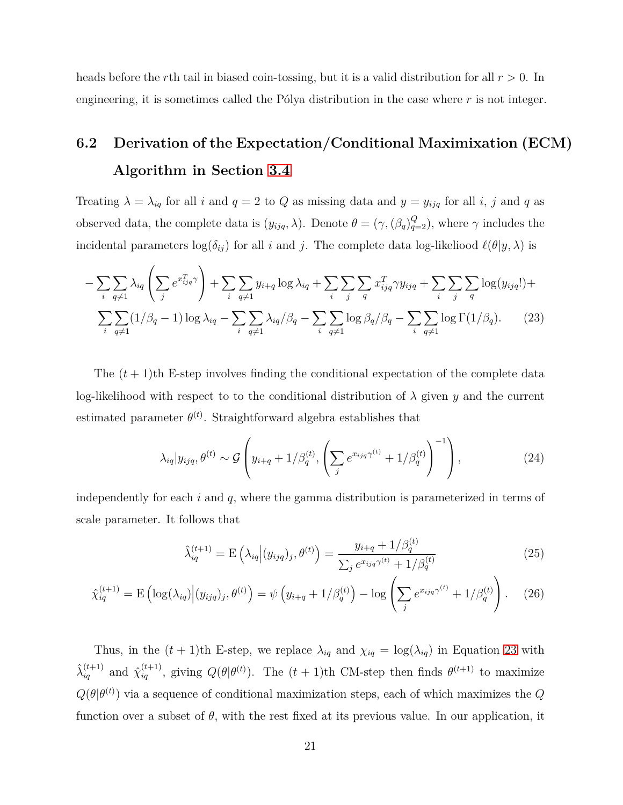heads before the *r*th tail in biased coin-tossing, but it is a valid distribution for all *r >* 0. In engineering, it is sometimes called the Pólya distribution in the case where *r* is not integer.

## **6.2 Derivation of the Expectation/Conditional Maximixation (ECM) Algorithm in Section [3.4](#page-13-0)**

Treating  $\lambda = \lambda_{iq}$  for all *i* and  $q = 2$  to *Q* as missing data and  $y = y_{ijq}$  for all *i*, *j* and *q* as observed data, the complete data is  $(y_{ijq}, \lambda)$ . Denote  $\theta = (\gamma, (\beta_q)_{q=2}^Q)$ , where  $\gamma$  includes the incidental parameters  $log(\delta_{ij})$  for all *i* and *j*. The complete data log-likeliood  $\ell(\theta | y, \lambda)$  is

$$
-\sum_{i}\sum_{q\neq 1} \lambda_{iq} \left(\sum_{j} e^{x_{ijq}^T \gamma}\right) + \sum_{i} \sum_{q\neq 1} y_{i+q} \log \lambda_{iq} + \sum_{i} \sum_{j} \sum_{q} x_{ijq}^T \gamma y_{ijq} + \sum_{i} \sum_{j} \sum_{q} \log(y_{ijq}!) +
$$

$$
\sum_{i} \sum_{q\neq 1} (1/\beta_q - 1) \log \lambda_{iq} - \sum_{i} \sum_{q\neq 1} \lambda_{iq} / \beta_q - \sum_{i} \sum_{q\neq 1} \log \beta_q / \beta_q - \sum_{i} \sum_{q\neq 1} \log \Gamma(1/\beta_q). \tag{23}
$$

The  $(t+1)$ <sup>th</sup> E-step involves finding the conditional expectation of the complete data log-likelihood with respect to to the conditional distribution of  $\lambda$  given  $y$  and the current estimated parameter  $\theta^{(t)}$ . Straightforward algebra establishes that

<span id="page-20-0"></span>
$$
\lambda_{iq}|y_{ijq},\theta^{(t)} \sim \mathcal{G}\left(y_{i+q} + 1/\beta_q^{(t)}, \left(\sum_j e^{x_{ijq}\gamma^{(t)}} + 1/\beta_q^{(t)}\right)^{-1}\right),\tag{24}
$$

independently for each *i* and *q*, where the gamma distribution is parameterized in terms of scale parameter. It follows that

$$
\hat{\lambda}_{iq}^{(t+1)} = \mathcal{E}\left(\lambda_{iq} \middle| (y_{ijq})_j, \theta^{(t)}\right) = \frac{y_{i+q} + 1/\beta_q^{(t)}}{\sum_j e^{x_{ijq}\gamma^{(t)}} + 1/\beta_q^{(t)}}
$$
\n(25)

$$
\hat{\chi}_{iq}^{(t+1)} = \mathcal{E}\left(\log(\lambda_{iq})\Big|(y_{ijq})_j, \theta^{(t)}\right) = \psi\left(y_{i+q} + 1/\beta_q^{(t)}\right) - \log\left(\sum_j e^{x_{ijq}\gamma^{(t)}} + 1/\beta_q^{(t)}\right). \tag{26}
$$

Thus, in the  $(t + 1)$ th E-step, we replace  $\lambda_{iq}$  and  $\chi_{iq} = \log(\lambda_{iq})$  in Equation [23](#page-20-0) with  $\hat{\lambda}_{iq}^{(t+1)}$  and  $\hat{\chi}_{iq}^{(t+1)}$ , giving  $Q(\theta|\theta^{(t)})$ . The  $(t+1)$ th CM-step then finds  $\theta^{(t+1)}$  to maximize  $Q(\theta|\theta^{(t)})$  via a sequence of conditional maximization steps, each of which maximizes the *Q* function over a subset of  $\theta$ , with the rest fixed at its previous value. In our application, it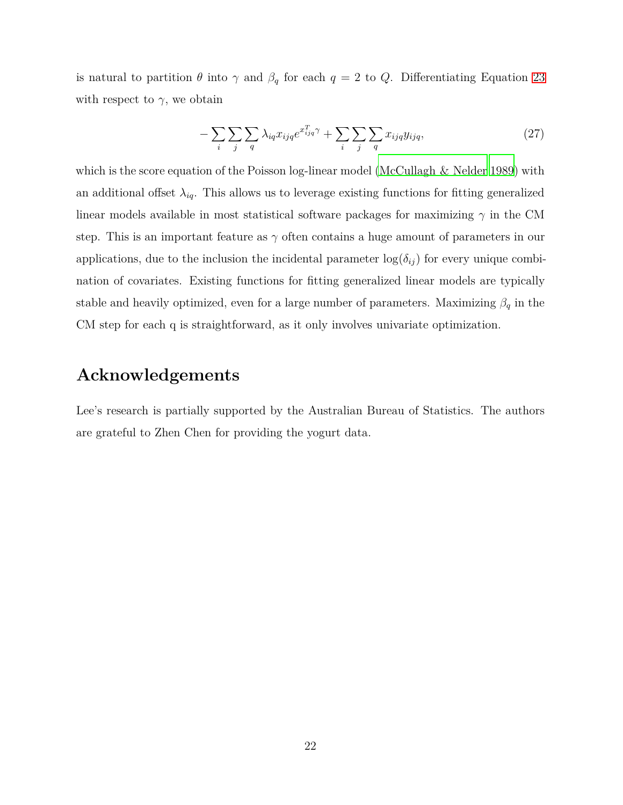is natural to partition  $\theta$  into  $\gamma$  and  $\beta_q$  for each  $q = 2$  to  $Q$ . Differentiating Equation [23](#page-20-0) with respect to  $\gamma$ , we obtain

$$
-\sum_{i}\sum_{j}\sum_{q}\lambda_{iq}x_{ijq}e^{x_{ijq}^T\gamma} + \sum_{i}\sum_{j}\sum_{q}x_{ijq}y_{ijq},\tag{27}
$$

which is the score equation of the Poisson log-linear model [\(McCullagh & Nelder 1989](#page-23-6)) with an additional offset  $\lambda_{iq}$ . This allows us to leverage existing functions for fitting generalized linear models available in most statistical software packages for maximizing  $\gamma$  in the CM step. This is an important feature as  $\gamma$  often contains a huge amount of parameters in our applications, due to the inclusion the incidental parameter  $log(\delta_{ij})$  for every unique combination of covariates. Existing functions for fitting generalized linear models are typically stable and heavily optimized, even for a large number of parameters. Maximizing  $\beta_q$  in the CM step for each q is straightforward, as it only involves univariate optimization.

### **Acknowledgements**

Lee's research is partially supported by the Australian Bureau of Statistics. The authors are grateful to Zhen Chen for providing the yogurt data.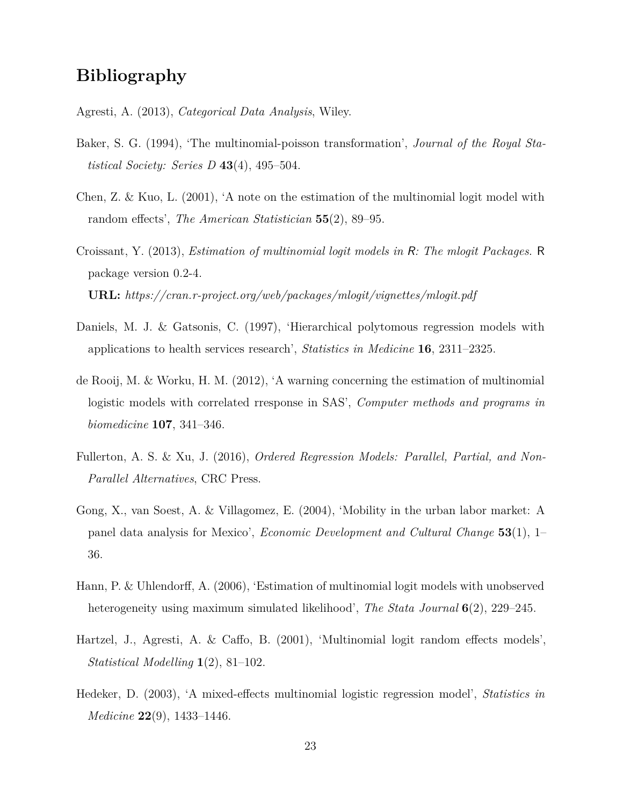## **Bibliography**

<span id="page-22-9"></span>Agresti, A. (2013), *Categorical Data Analysis*, Wiley.

- <span id="page-22-7"></span>Baker, S. G. (1994), 'The multinomial-poisson transformation', *Journal of the Royal Statistical Society: Series D* **43**(4), 495–504.
- <span id="page-22-0"></span>Chen, Z. & Kuo, L. (2001), 'A note on the estimation of the multinomial logit model with random effects', *The American Statistician* **55**(2), 89–95.
- <span id="page-22-8"></span>Croissant, Y. (2013), *Estimation of multinomial logit models in* R*: The mlogit Packages*. R package version 0.2-4. **URL:** *https://cran.r-project.org/web/packages/mlogit/vignettes/mlogit.pdf*
- <span id="page-22-1"></span>Daniels, M. J. & Gatsonis, C. (1997), 'Hierarchical polytomous regression models with applications to health services research', *Statistics in Medicine* **16**, 2311–2325.
- <span id="page-22-6"></span>de Rooij, M. & Worku, H. M. (2012), 'A warning concerning the estimation of multinomial logistic models with correlated rresponse in SAS', *Computer methods and programs in biomedicine* **107**, 341–346.
- <span id="page-22-10"></span>Fullerton, A. S. & Xu, J. (2016), *Ordered Regression Models: Parallel, Partial, and Non-Parallel Alternatives*, CRC Press.
- <span id="page-22-4"></span>Gong, X., van Soest, A. & Villagomez, E. (2004), 'Mobility in the urban labor market: A panel data analysis for Mexico', *Economic Development and Cultural Change* **53**(1), 1– 36.
- <span id="page-22-5"></span>Hann, P. & Uhlendorff, A. (2006), 'Estimation of multinomial logit models with unobserved heterogeneity using maximum simulated likelihood', *The Stata Journal* **6**(2), 229–245.
- <span id="page-22-2"></span>Hartzel, J., Agresti, A. & Caffo, B. (2001), 'Multinomial logit random effects models', *Statistical Modelling* **1**(2), 81–102.
- <span id="page-22-3"></span>Hedeker, D. (2003), 'A mixed-effects multinomial logistic regression model', *Statistics in Medicine* **22**(9), 1433–1446.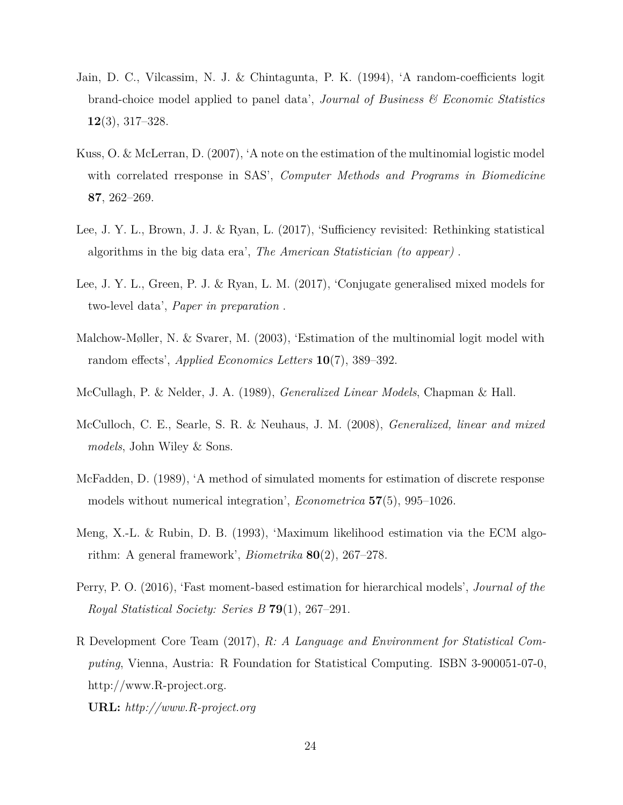- <span id="page-23-2"></span>Jain, D. C., Vilcassim, N. J. & Chintagunta, P. K. (1994), 'A random-coefficients logit brand-choice model applied to panel data', *Journal of Business & Economic Statistics* **12**(3), 317–328.
- <span id="page-23-5"></span>Kuss, O. & McLerran, D. (2007), 'A note on the estimation of the multinomial logistic model with correlated rresponse in SAS', *Computer Methods and Programs in Biomedicine* **87**, 262–269.
- <span id="page-23-7"></span>Lee, J. Y. L., Brown, J. J. & Ryan, L. (2017), 'Sufficiency revisited: Rethinking statistical algorithms in the big data era', *The American Statistician (to appear)* .
- <span id="page-23-1"></span>Lee, J. Y. L., Green, P. J. & Ryan, L. M. (2017), 'Conjugate generalised mixed models for two-level data', *Paper in preparation* .
- <span id="page-23-0"></span>Malchow-Møller, N. & Svarer, M. (2003), 'Estimation of the multinomial logit model with random effects', *Applied Economics Letters* **10**(7), 389–392.
- <span id="page-23-6"></span>McCullagh, P. & Nelder, J. A. (1989), *Generalized Linear Models*, Chapman & Hall.
- <span id="page-23-9"></span>McCulloch, C. E., Searle, S. R. & Neuhaus, J. M. (2008), *Generalized, linear and mixed models*, John Wiley & Sons.
- <span id="page-23-3"></span>McFadden, D. (1989), 'A method of simulated moments for estimation of discrete response models without numerical integration', *Econometrica* **57**(5), 995–1026.
- <span id="page-23-10"></span>Meng, X.-L. & Rubin, D. B. (1993), 'Maximum likelihood estimation via the ECM algorithm: A general framework', *Biometrika* **80**(2), 267–278.
- <span id="page-23-4"></span>Perry, P. O. (2016), 'Fast moment-based estimation for hierarchical models', *Journal of the Royal Statistical Society: Series B* **79**(1), 267–291.
- <span id="page-23-8"></span>R Development Core Team (2017), *R: A Language and Environment for Statistical Computing*, Vienna, Austria: R Foundation for Statistical Computing. ISBN 3-900051-07-0, http://www.R-project.org.

#### **URL:** *http://www.R-project.org*